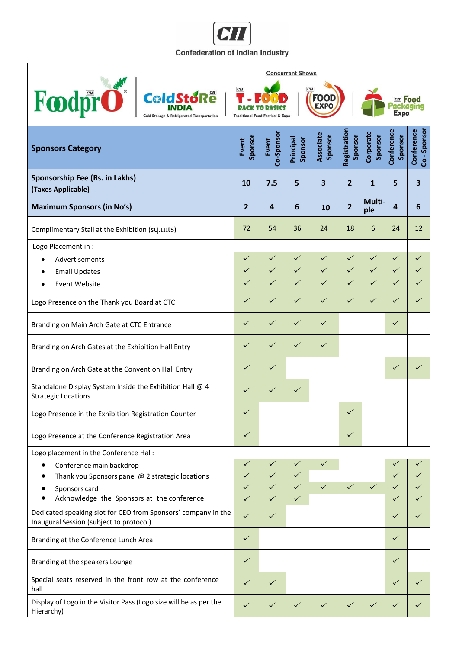## C **Confederation of Indian Industry**

٦

 $\mathbf{r}$ 

|                                                                                                                                                                                       | <b>Concurrent Shows</b>                                                                                                              |                                              |                                              |                              |                                              |                                              |                                              |                          |  |  |
|---------------------------------------------------------------------------------------------------------------------------------------------------------------------------------------|--------------------------------------------------------------------------------------------------------------------------------------|----------------------------------------------|----------------------------------------------|------------------------------|----------------------------------------------|----------------------------------------------|----------------------------------------------|--------------------------|--|--|
| Foodpro<br><b>ColdStoRe</b><br><b>Cold Storage &amp; Refrigerated Transportation</b>                                                                                                  | CII<br>c <sub>H</sub><br><b>FOOD</b><br><b>CII</b> Food<br><b>EXPO</b><br><b>Expo</b><br><b>Traditional Food Festival &amp; Expo</b> |                                              |                                              |                              |                                              |                                              |                                              |                          |  |  |
| <b>Sponsors Category</b>                                                                                                                                                              | Sponsor<br>Event                                                                                                                     | Co-Sponsor<br>Event                          | Principal<br>Sponsor                         | <b>Associate</b><br>Sponsor  | Registration<br>Sponsor                      | Corporate<br>Sponsor                         | Conference<br>Sponsor                        | Co-Sponsor<br>Conference |  |  |
| Sponsorship Fee (Rs. in Lakhs)<br>(Taxes Applicable)                                                                                                                                  | 10                                                                                                                                   | 7.5                                          | 5                                            | 3                            | $\overline{2}$                               | 1                                            | 5                                            | 3                        |  |  |
| <b>Maximum Sponsors (in No's)</b>                                                                                                                                                     | $\overline{2}$                                                                                                                       | 4                                            | 6                                            | 10                           | $\overline{2}$                               | Multi-<br>ple                                | 4                                            | 6                        |  |  |
| Complimentary Stall at the Exhibition (sq.mts)                                                                                                                                        | 72                                                                                                                                   | 54                                           | 36                                           | 24                           | 18                                           | 6                                            | 24                                           | 12                       |  |  |
| Logo Placement in :<br>Advertisements<br><b>Email Updates</b><br><b>Event Website</b>                                                                                                 | $\checkmark$<br>$\checkmark$<br>$\checkmark$                                                                                         | $\checkmark$<br>$\checkmark$<br>$\checkmark$ | $\checkmark$<br>$\checkmark$<br>$\checkmark$ | $\checkmark$<br>$\checkmark$ | $\checkmark$<br>$\checkmark$<br>$\checkmark$ | $\checkmark$<br>$\checkmark$<br>$\checkmark$ | $\checkmark$<br>$\checkmark$<br>$\checkmark$ | ✓<br>✓                   |  |  |
| Logo Presence on the Thank you Board at CTC                                                                                                                                           | $\checkmark$                                                                                                                         | $\checkmark$                                 | $\checkmark$                                 | $\checkmark$                 | $\checkmark$                                 | $\checkmark$                                 | $\checkmark$                                 | $\checkmark$             |  |  |
| Branding on Main Arch Gate at CTC Entrance                                                                                                                                            | $\checkmark$                                                                                                                         | $\checkmark$                                 | $\checkmark$                                 | $\checkmark$                 |                                              |                                              | $\checkmark$                                 |                          |  |  |
| Branding on Arch Gates at the Exhibition Hall Entry                                                                                                                                   | $\checkmark$                                                                                                                         | $\checkmark$                                 | $\checkmark$                                 | $\checkmark$                 |                                              |                                              |                                              |                          |  |  |
| Branding on Arch Gate at the Convention Hall Entry                                                                                                                                    | $\checkmark$                                                                                                                         | $\checkmark$                                 |                                              |                              |                                              |                                              | $\checkmark$                                 | ✓                        |  |  |
| Standalone Display System Inside the Exhibition Hall @ 4<br><b>Strategic Locations</b>                                                                                                | $\checkmark$                                                                                                                         | $\checkmark$                                 | $\checkmark$                                 |                              |                                              |                                              |                                              |                          |  |  |
| Logo Presence in the Exhibition Registration Counter                                                                                                                                  | ✓                                                                                                                                    |                                              |                                              |                              | ✓                                            |                                              |                                              |                          |  |  |
| Logo Presence at the Conference Registration Area                                                                                                                                     | $\checkmark$                                                                                                                         |                                              |                                              |                              | $\checkmark$                                 |                                              |                                              |                          |  |  |
| Logo placement in the Conference Hall:<br>Conference main backdrop<br>Thank you Sponsors panel @ 2 strategic locations<br>Sponsors card<br>Acknowledge the Sponsors at the conference | $\checkmark$<br>✓                                                                                                                    | ✓<br>$\checkmark$<br>$\checkmark$            | $\checkmark$<br>$\checkmark$<br>$\checkmark$ | $\checkmark$<br>$\checkmark$ | $\checkmark$                                 | $\checkmark$                                 | $\checkmark$                                 | ✓                        |  |  |
| Dedicated speaking slot for CEO from Sponsors' company in the<br>Inaugural Session (subject to protocol)                                                                              | $\checkmark$                                                                                                                         | $\checkmark$                                 |                                              |                              |                                              |                                              | $\checkmark$                                 | ✓                        |  |  |
| Branding at the Conference Lunch Area                                                                                                                                                 | $\checkmark$                                                                                                                         |                                              |                                              |                              |                                              |                                              | $\checkmark$                                 |                          |  |  |
| Branding at the speakers Lounge                                                                                                                                                       | $\checkmark$                                                                                                                         |                                              |                                              |                              |                                              |                                              | $\checkmark$                                 |                          |  |  |
| Special seats reserved in the front row at the conference<br>hall                                                                                                                     | $\checkmark$                                                                                                                         | $\checkmark$                                 |                                              |                              |                                              |                                              | $\checkmark$                                 |                          |  |  |
| Display of Logo in the Visitor Pass (Logo size will be as per the<br>Hierarchy)                                                                                                       |                                                                                                                                      | $\checkmark$                                 | $\checkmark$                                 |                              | $\checkmark$                                 | $\checkmark$                                 | $\checkmark$                                 |                          |  |  |